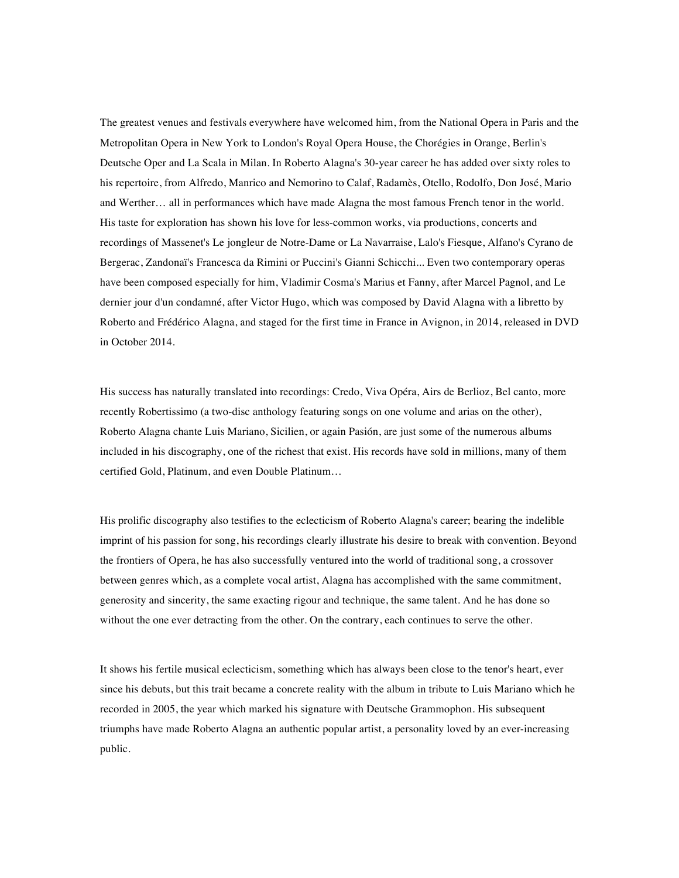The greatest venues and festivals everywhere have welcomed him, from the National Opera in Paris and the Metropolitan Opera in New York to London's Royal Opera House, the Chorégies in Orange, Berlin's Deutsche Oper and La Scala in Milan. In Roberto Alagna's 30-year career he has added over sixty roles to his repertoire, from Alfredo, Manrico and Nemorino to Calaf, Radamès, Otello, Rodolfo, Don José, Mario and Werther… all in performances which have made Alagna the most famous French tenor in the world. His taste for exploration has shown his love for less-common works, via productions, concerts and recordings of Massenet's Le jongleur de Notre-Dame or La Navarraise, Lalo's Fiesque, Alfano's Cyrano de Bergerac, Zandonaï's Francesca da Rimini or Puccini's Gianni Schicchi... Even two contemporary operas have been composed especially for him, Vladimir Cosma's Marius et Fanny, after Marcel Pagnol, and Le dernier jour d'un condamné, after Victor Hugo, which was composed by David Alagna with a libretto by Roberto and Frédérico Alagna, and staged for the first time in France in Avignon, in 2014, released in DVD in October 2014.

His success has naturally translated into recordings: Credo, Viva Opéra, Airs de Berlioz, Bel canto, more recently Robertissimo (a two-disc anthology featuring songs on one volume and arias on the other), Roberto Alagna chante Luis Mariano, Sicilien, or again Pasión, are just some of the numerous albums included in his discography, one of the richest that exist. His records have sold in millions, many of them certified Gold, Platinum, and even Double Platinum…

His prolific discography also testifies to the eclecticism of Roberto Alagna's career; bearing the indelible imprint of his passion for song, his recordings clearly illustrate his desire to break with convention. Beyond the frontiers of Opera, he has also successfully ventured into the world of traditional song, a crossover between genres which, as a complete vocal artist, Alagna has accomplished with the same commitment, generosity and sincerity, the same exacting rigour and technique, the same talent. And he has done so without the one ever detracting from the other. On the contrary, each continues to serve the other.

It shows his fertile musical eclecticism, something which has always been close to the tenor's heart, ever since his debuts, but this trait became a concrete reality with the album in tribute to Luis Mariano which he recorded in 2005, the year which marked his signature with Deutsche Grammophon. His subsequent triumphs have made Roberto Alagna an authentic popular artist, a personality loved by an ever-increasing public.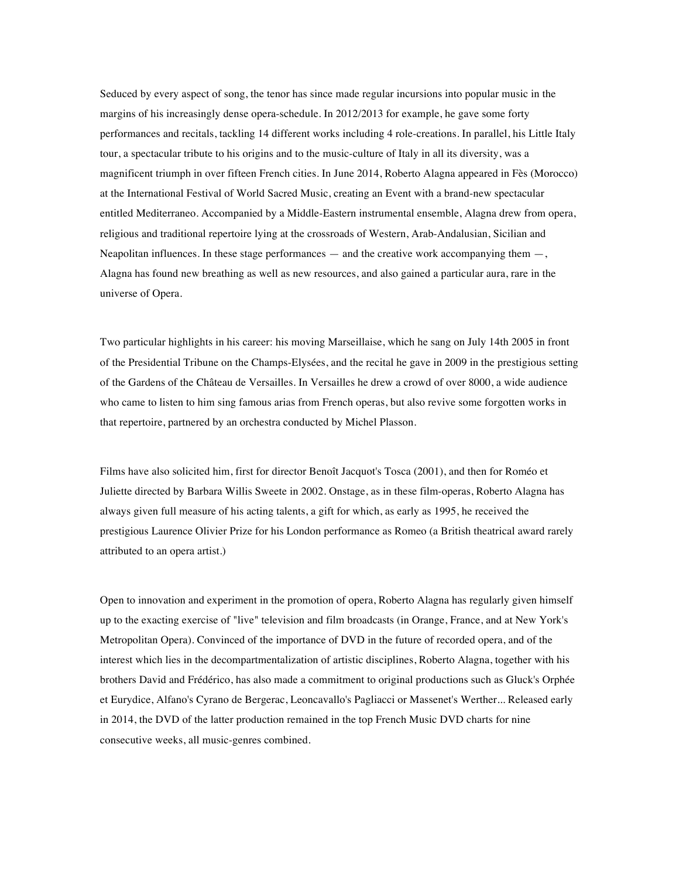Seduced by every aspect of song, the tenor has since made regular incursions into popular music in the margins of his increasingly dense opera-schedule. In 2012/2013 for example, he gave some forty performances and recitals, tackling 14 different works including 4 role-creations. In parallel, his Little Italy tour, a spectacular tribute to his origins and to the music-culture of Italy in all its diversity, was a magnificent triumph in over fifteen French cities. In June 2014, Roberto Alagna appeared in Fès (Morocco) at the International Festival of World Sacred Music, creating an Event with a brand-new spectacular entitled Mediterraneo. Accompanied by a Middle-Eastern instrumental ensemble, Alagna drew from opera, religious and traditional repertoire lying at the crossroads of Western, Arab-Andalusian, Sicilian and Neapolitan influences. In these stage performances  $-$  and the creative work accompanying them  $-$ , Alagna has found new breathing as well as new resources, and also gained a particular aura, rare in the universe of Opera.

Two particular highlights in his career: his moving Marseillaise, which he sang on July 14th 2005 in front of the Presidential Tribune on the Champs-Elysées, and the recital he gave in 2009 in the prestigious setting of the Gardens of the Château de Versailles. In Versailles he drew a crowd of over 8000, a wide audience who came to listen to him sing famous arias from French operas, but also revive some forgotten works in that repertoire, partnered by an orchestra conducted by Michel Plasson.

Films have also solicited him, first for director Benoît Jacquot's Tosca (2001), and then for Roméo et Juliette directed by Barbara Willis Sweete in 2002. Onstage, as in these film-operas, Roberto Alagna has always given full measure of his acting talents, a gift for which, as early as 1995, he received the prestigious Laurence Olivier Prize for his London performance as Romeo (a British theatrical award rarely attributed to an opera artist.)

Open to innovation and experiment in the promotion of opera, Roberto Alagna has regularly given himself up to the exacting exercise of "live" television and film broadcasts (in Orange, France, and at New York's Metropolitan Opera). Convinced of the importance of DVD in the future of recorded opera, and of the interest which lies in the decompartmentalization of artistic disciplines, Roberto Alagna, together with his brothers David and Frédérico, has also made a commitment to original productions such as Gluck's Orphée et Eurydice, Alfano's Cyrano de Bergerac, Leoncavallo's Pagliacci or Massenet's Werther... Released early in 2014, the DVD of the latter production remained in the top French Music DVD charts for nine consecutive weeks, all music-genres combined.